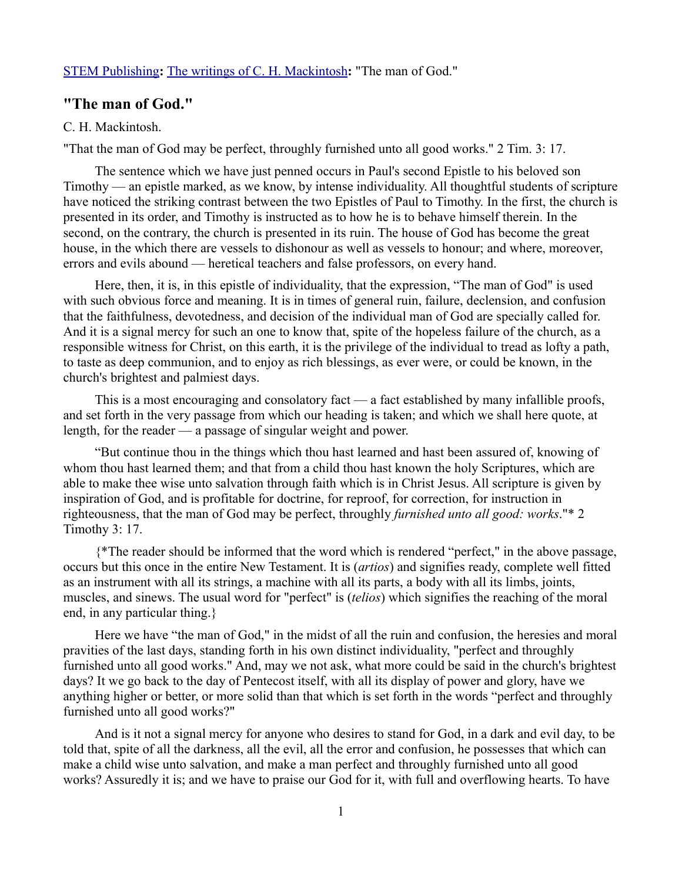## [STEM Publishing](http://www.stempublishing.com/)**:** [The writings of C. H. Mackintosh](http://www.stempublishing.com/authors/mackintosh/index.html)**:** "The man of God."

# **"The man of God."**

### C. H. Mackintosh.

"That the man of God may be perfect, throughly furnished unto all good works." 2 Tim. 3: 17.

The sentence which we have just penned occurs in Paul's second Epistle to his beloved son Timothy — an epistle marked, as we know, by intense individuality. All thoughtful students of scripture have noticed the striking contrast between the two Epistles of Paul to Timothy. In the first, the church is presented in its order, and Timothy is instructed as to how he is to behave himself therein. In the second, on the contrary, the church is presented in its ruin. The house of God has become the great house, in the which there are vessels to dishonour as well as vessels to honour; and where, moreover, errors and evils abound — heretical teachers and false professors, on every hand.

Here, then, it is, in this epistle of individuality, that the expression, "The man of God" is used with such obvious force and meaning. It is in times of general ruin, failure, declension, and confusion that the faithfulness, devotedness, and decision of the individual man of God are specially called for. And it is a signal mercy for such an one to know that, spite of the hopeless failure of the church, as a responsible witness for Christ, on this earth, it is the privilege of the individual to tread as lofty a path, to taste as deep communion, and to enjoy as rich blessings, as ever were, or could be known, in the church's brightest and palmiest days.

This is a most encouraging and consolatory fact — a fact established by many infallible proofs, and set forth in the very passage from which our heading is taken; and which we shall here quote, at length, for the reader — a passage of singular weight and power.

"But continue thou in the things which thou hast learned and hast been assured of, knowing of whom thou hast learned them; and that from a child thou hast known the holy Scriptures, which are able to make thee wise unto salvation through faith which is in Christ Jesus. All scripture is given by inspiration of God, and is profitable for doctrine, for reproof, for correction, for instruction in righteousness, that the man of God may be perfect, throughly *furnished unto all good: works*."\* 2 Timothy 3: 17.

{\*The reader should be informed that the word which is rendered "perfect," in the above passage, occurs but this once in the entire New Testament. It is (*artios*) and signifies ready, complete well fitted as an instrument with all its strings, a machine with all its parts, a body with all its limbs, joints, muscles, and sinews. The usual word for "perfect" is (*telios*) which signifies the reaching of the moral end, in any particular thing.}

Here we have "the man of God," in the midst of all the ruin and confusion, the heresies and moral pravities of the last days, standing forth in his own distinct individuality, "perfect and throughly furnished unto all good works." And, may we not ask, what more could be said in the church's brightest days? It we go back to the day of Pentecost itself, with all its display of power and glory, have we anything higher or better, or more solid than that which is set forth in the words "perfect and throughly furnished unto all good works?"

And is it not a signal mercy for anyone who desires to stand for God, in a dark and evil day, to be told that, spite of all the darkness, all the evil, all the error and confusion, he possesses that which can make a child wise unto salvation, and make a man perfect and throughly furnished unto all good works? Assuredly it is; and we have to praise our God for it, with full and overflowing hearts. To have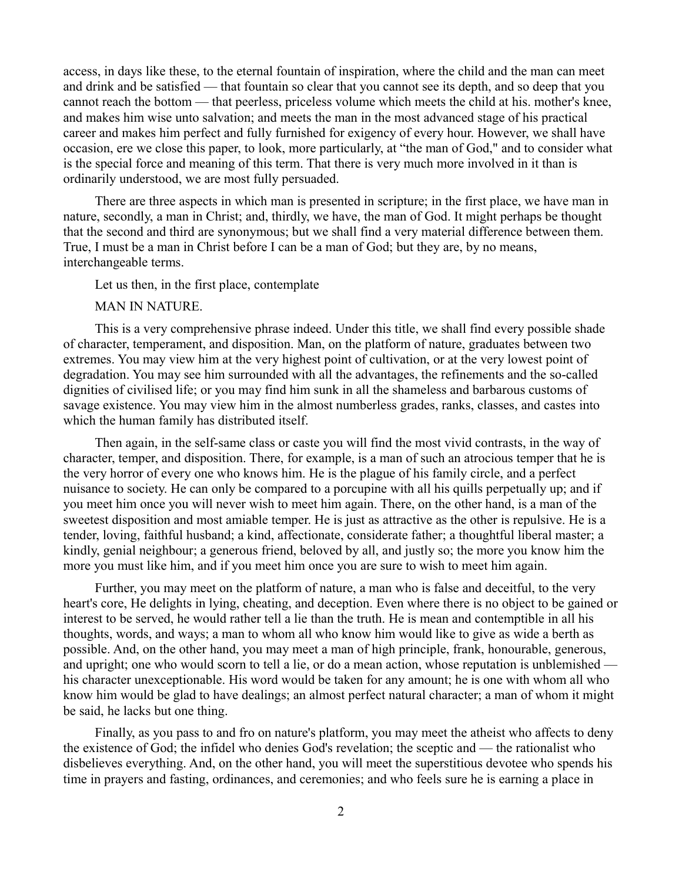access, in days like these, to the eternal fountain of inspiration, where the child and the man can meet and drink and be satisfied — that fountain so clear that you cannot see its depth, and so deep that you cannot reach the bottom — that peerless, priceless volume which meets the child at his. mother's knee, and makes him wise unto salvation; and meets the man in the most advanced stage of his practical career and makes him perfect and fully furnished for exigency of every hour. However, we shall have occasion, ere we close this paper, to look, more particularly, at "the man of God," and to consider what is the special force and meaning of this term. That there is very much more involved in it than is ordinarily understood, we are most fully persuaded.

There are three aspects in which man is presented in scripture; in the first place, we have man in nature, secondly, a man in Christ; and, thirdly, we have, the man of God. It might perhaps be thought that the second and third are synonymous; but we shall find a very material difference between them. True, I must be a man in Christ before I can be a man of God; but they are, by no means, interchangeable terms.

Let us then, in the first place, contemplate

MAN IN NATURE.

This is a very comprehensive phrase indeed. Under this title, we shall find every possible shade of character, temperament, and disposition. Man, on the platform of nature, graduates between two extremes. You may view him at the very highest point of cultivation, or at the very lowest point of degradation. You may see him surrounded with all the advantages, the refinements and the so-called dignities of civilised life; or you may find him sunk in all the shameless and barbarous customs of savage existence. You may view him in the almost numberless grades, ranks, classes, and castes into which the human family has distributed itself.

Then again, in the self-same class or caste you will find the most vivid contrasts, in the way of character, temper, and disposition. There, for example, is a man of such an atrocious temper that he is the very horror of every one who knows him. He is the plague of his family circle, and a perfect nuisance to society. He can only be compared to a porcupine with all his quills perpetually up; and if you meet him once you will never wish to meet him again. There, on the other hand, is a man of the sweetest disposition and most amiable temper. He is just as attractive as the other is repulsive. He is a tender, loving, faithful husband; a kind, affectionate, considerate father; a thoughtful liberal master; a kindly, genial neighbour; a generous friend, beloved by all, and justly so; the more you know him the more you must like him, and if you meet him once you are sure to wish to meet him again.

Further, you may meet on the platform of nature, a man who is false and deceitful, to the very heart's core, He delights in lying, cheating, and deception. Even where there is no object to be gained or interest to be served, he would rather tell a lie than the truth. He is mean and contemptible in all his thoughts, words, and ways; a man to whom all who know him would like to give as wide a berth as possible. And, on the other hand, you may meet a man of high principle, frank, honourable, generous, and upright; one who would scorn to tell a lie, or do a mean action, whose reputation is unblemished his character unexceptionable. His word would be taken for any amount; he is one with whom all who know him would be glad to have dealings; an almost perfect natural character; a man of whom it might be said, he lacks but one thing.

Finally, as you pass to and fro on nature's platform, you may meet the atheist who affects to deny the existence of God; the infidel who denies God's revelation; the sceptic and — the rationalist who disbelieves everything. And, on the other hand, you will meet the superstitious devotee who spends his time in prayers and fasting, ordinances, and ceremonies; and who feels sure he is earning a place in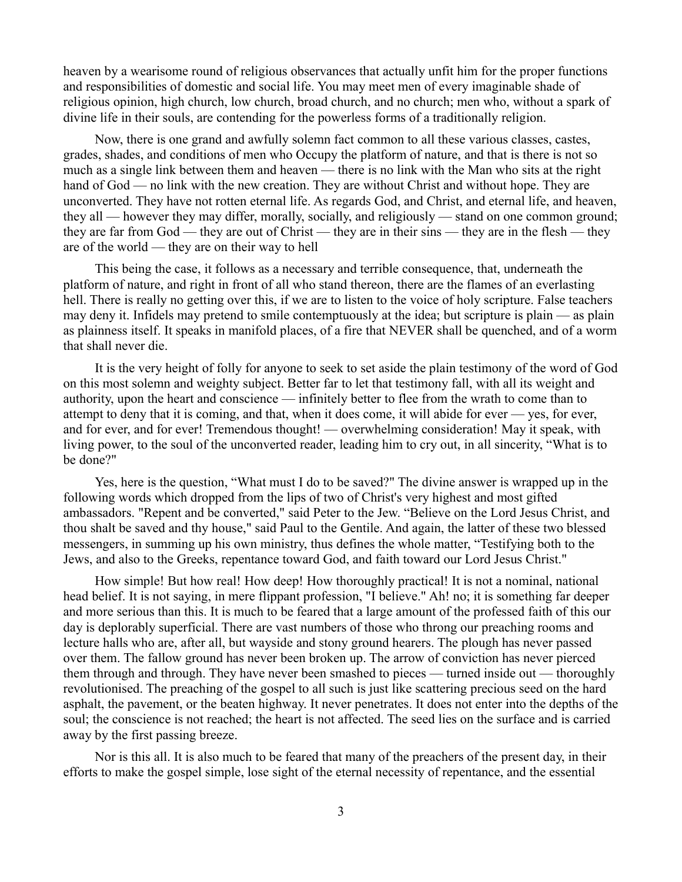heaven by a wearisome round of religious observances that actually unfit him for the proper functions and responsibilities of domestic and social life. You may meet men of every imaginable shade of religious opinion, high church, low church, broad church, and no church; men who, without a spark of divine life in their souls, are contending for the powerless forms of a traditionally religion.

Now, there is one grand and awfully solemn fact common to all these various classes, castes, grades, shades, and conditions of men who Occupy the platform of nature, and that is there is not so much as a single link between them and heaven — there is no link with the Man who sits at the right hand of God — no link with the new creation. They are without Christ and without hope. They are unconverted. They have not rotten eternal life. As regards God, and Christ, and eternal life, and heaven, they all — however they may differ, morally, socially, and religiously — stand on one common ground; they are far from God — they are out of Christ — they are in their sins — they are in the flesh — they are of the world — they are on their way to hell

This being the case, it follows as a necessary and terrible consequence, that, underneath the platform of nature, and right in front of all who stand thereon, there are the flames of an everlasting hell. There is really no getting over this, if we are to listen to the voice of holy scripture. False teachers may deny it. Infidels may pretend to smile contemptuously at the idea; but scripture is plain — as plain as plainness itself. It speaks in manifold places, of a fire that NEVER shall be quenched, and of a worm that shall never die.

It is the very height of folly for anyone to seek to set aside the plain testimony of the word of God on this most solemn and weighty subject. Better far to let that testimony fall, with all its weight and authority, upon the heart and conscience — infinitely better to flee from the wrath to come than to attempt to deny that it is coming, and that, when it does come, it will abide for ever — yes, for ever, and for ever, and for ever! Tremendous thought! — overwhelming consideration! May it speak, with living power, to the soul of the unconverted reader, leading him to cry out, in all sincerity, "What is to be done?"

Yes, here is the question, "What must I do to be saved?" The divine answer is wrapped up in the following words which dropped from the lips of two of Christ's very highest and most gifted ambassadors. "Repent and be converted," said Peter to the Jew. "Believe on the Lord Jesus Christ, and thou shalt be saved and thy house," said Paul to the Gentile. And again, the latter of these two blessed messengers, in summing up his own ministry, thus defines the whole matter, "Testifying both to the Jews, and also to the Greeks, repentance toward God, and faith toward our Lord Jesus Christ."

How simple! But how real! How deep! How thoroughly practical! It is not a nominal, national head belief. It is not saying, in mere flippant profession, "I believe." Ah! no; it is something far deeper and more serious than this. It is much to be feared that a large amount of the professed faith of this our day is deplorably superficial. There are vast numbers of those who throng our preaching rooms and lecture halls who are, after all, but wayside and stony ground hearers. The plough has never passed over them. The fallow ground has never been broken up. The arrow of conviction has never pierced them through and through. They have never been smashed to pieces — turned inside out — thoroughly revolutionised. The preaching of the gospel to all such is just like scattering precious seed on the hard asphalt, the pavement, or the beaten highway. It never penetrates. It does not enter into the depths of the soul; the conscience is not reached; the heart is not affected. The seed lies on the surface and is carried away by the first passing breeze.

Nor is this all. It is also much to be feared that many of the preachers of the present day, in their efforts to make the gospel simple, lose sight of the eternal necessity of repentance, and the essential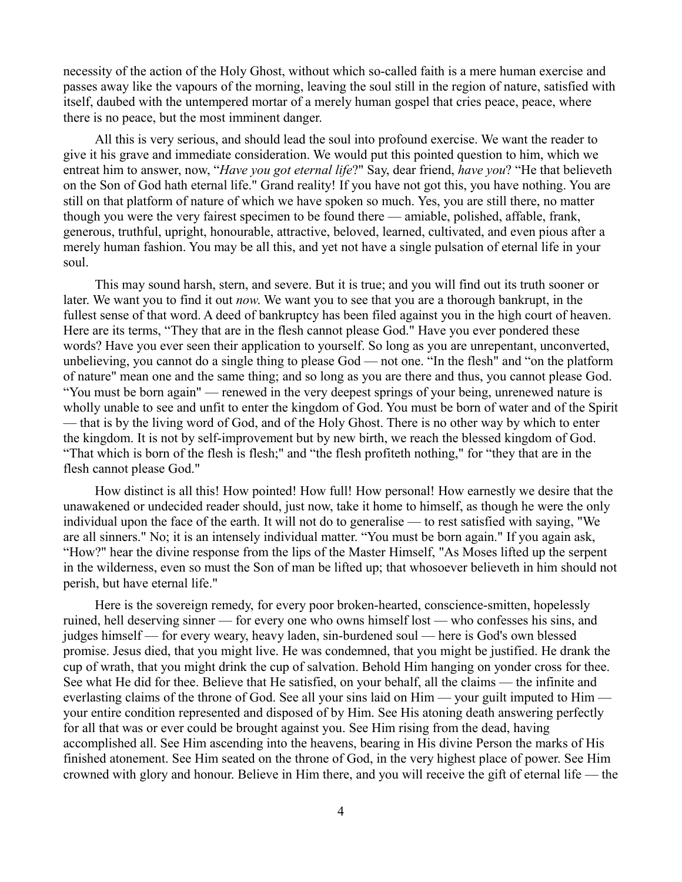necessity of the action of the Holy Ghost, without which so-called faith is a mere human exercise and passes away like the vapours of the morning, leaving the soul still in the region of nature, satisfied with itself, daubed with the untempered mortar of a merely human gospel that cries peace, peace, where there is no peace, but the most imminent danger.

All this is very serious, and should lead the soul into profound exercise. We want the reader to give it his grave and immediate consideration. We would put this pointed question to him, which we entreat him to answer, now, "*Have you got eternal life*?" Say, dear friend, *have you*? "He that believeth on the Son of God hath eternal life." Grand reality! If you have not got this, you have nothing. You are still on that platform of nature of which we have spoken so much. Yes, you are still there, no matter though you were the very fairest specimen to be found there — amiable, polished, affable, frank, generous, truthful, upright, honourable, attractive, beloved, learned, cultivated, and even pious after a merely human fashion. You may be all this, and yet not have a single pulsation of eternal life in your soul.

This may sound harsh, stern, and severe. But it is true; and you will find out its truth sooner or later. We want you to find it out *now*. We want you to see that you are a thorough bankrupt, in the fullest sense of that word. A deed of bankruptcy has been filed against you in the high court of heaven. Here are its terms, "They that are in the flesh cannot please God." Have you ever pondered these words? Have you ever seen their application to yourself. So long as you are unrepentant, unconverted, unbelieving, you cannot do a single thing to please God — not one. "In the flesh" and "on the platform of nature" mean one and the same thing; and so long as you are there and thus, you cannot please God. "You must be born again" — renewed in the very deepest springs of your being, unrenewed nature is wholly unable to see and unfit to enter the kingdom of God. You must be born of water and of the Spirit — that is by the living word of God, and of the Holy Ghost. There is no other way by which to enter the kingdom. It is not by self-improvement but by new birth, we reach the blessed kingdom of God. "That which is born of the flesh is flesh;" and "the flesh profiteth nothing," for "they that are in the flesh cannot please God."

How distinct is all this! How pointed! How full! How personal! How earnestly we desire that the unawakened or undecided reader should, just now, take it home to himself, as though he were the only individual upon the face of the earth. It will not do to generalise — to rest satisfied with saying, "We are all sinners." No; it is an intensely individual matter. "You must be born again." If you again ask, "How?" hear the divine response from the lips of the Master Himself, "As Moses lifted up the serpent in the wilderness, even so must the Son of man be lifted up; that whosoever believeth in him should not perish, but have eternal life."

Here is the sovereign remedy, for every poor broken-hearted, conscience-smitten, hopelessly ruined, hell deserving sinner — for every one who owns himself lost — who confesses his sins, and judges himself — for every weary, heavy laden, sin-burdened soul — here is God's own blessed promise. Jesus died, that you might live. He was condemned, that you might be justified. He drank the cup of wrath, that you might drink the cup of salvation. Behold Him hanging on yonder cross for thee. See what He did for thee. Believe that He satisfied, on your behalf, all the claims — the infinite and everlasting claims of the throne of God. See all your sins laid on Him — your guilt imputed to Him your entire condition represented and disposed of by Him. See His atoning death answering perfectly for all that was or ever could be brought against you. See Him rising from the dead, having accomplished all. See Him ascending into the heavens, bearing in His divine Person the marks of His finished atonement. See Him seated on the throne of God, in the very highest place of power. See Him crowned with glory and honour. Believe in Him there, and you will receive the gift of eternal life — the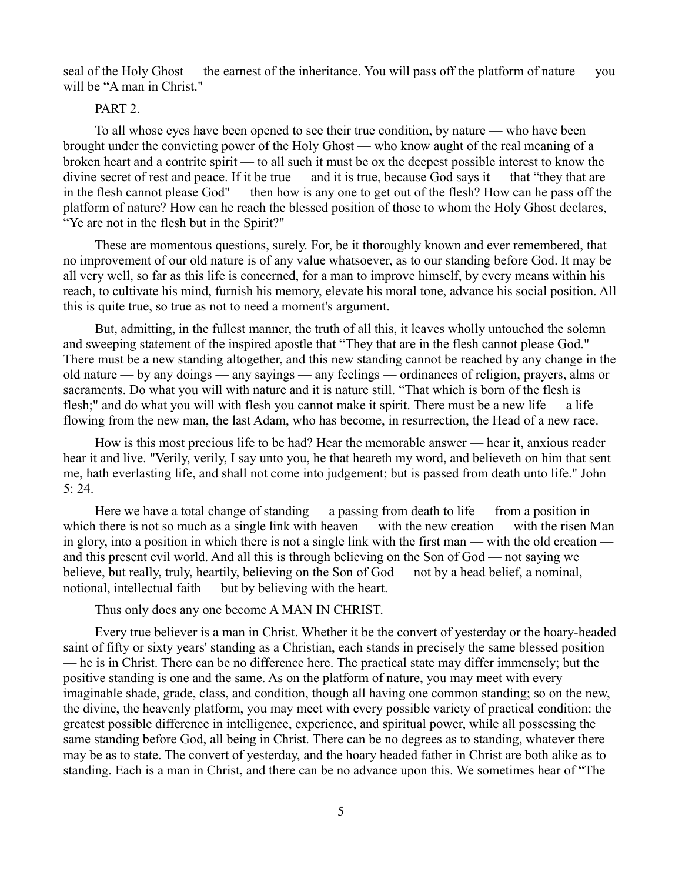seal of the Holy Ghost — the earnest of the inheritance. You will pass off the platform of nature — you will be "A man in Christ."

### PART<sub>2</sub>

To all whose eyes have been opened to see their true condition, by nature — who have been brought under the convicting power of the Holy Ghost — who know aught of the real meaning of a broken heart and a contrite spirit — to all such it must be ox the deepest possible interest to know the divine secret of rest and peace. If it be true — and it is true, because God says it — that "they that are in the flesh cannot please God" — then how is any one to get out of the flesh? How can he pass off the platform of nature? How can he reach the blessed position of those to whom the Holy Ghost declares, "Ye are not in the flesh but in the Spirit?"

These are momentous questions, surely. For, be it thoroughly known and ever remembered, that no improvement of our old nature is of any value whatsoever, as to our standing before God. It may be all very well, so far as this life is concerned, for a man to improve himself, by every means within his reach, to cultivate his mind, furnish his memory, elevate his moral tone, advance his social position. All this is quite true, so true as not to need a moment's argument.

But, admitting, in the fullest manner, the truth of all this, it leaves wholly untouched the solemn and sweeping statement of the inspired apostle that "They that are in the flesh cannot please God." There must be a new standing altogether, and this new standing cannot be reached by any change in the old nature — by any doings — any sayings — any feelings — ordinances of religion, prayers, alms or sacraments. Do what you will with nature and it is nature still. "That which is born of the flesh is flesh;" and do what you will with flesh you cannot make it spirit. There must be a new life — a life flowing from the new man, the last Adam, who has become, in resurrection, the Head of a new race.

How is this most precious life to be had? Hear the memorable answer — hear it, anxious reader hear it and live. "Verily, verily, I say unto you, he that heareth my word, and believeth on him that sent me, hath everlasting life, and shall not come into judgement; but is passed from death unto life." John 5: 24.

Here we have a total change of standing — a passing from death to life — from a position in which there is not so much as a single link with heaven — with the new creation — with the risen Man in glory, into a position in which there is not a single link with the first man — with the old creation and this present evil world. And all this is through believing on the Son of God — not saying we believe, but really, truly, heartily, believing on the Son of God — not by a head belief, a nominal, notional, intellectual faith — but by believing with the heart.

Thus only does any one become A MAN IN CHRIST.

Every true believer is a man in Christ. Whether it be the convert of yesterday or the hoary-headed saint of fifty or sixty years' standing as a Christian, each stands in precisely the same blessed position — he is in Christ. There can be no difference here. The practical state may differ immensely; but the positive standing is one and the same. As on the platform of nature, you may meet with every imaginable shade, grade, class, and condition, though all having one common standing; so on the new, the divine, the heavenly platform, you may meet with every possible variety of practical condition: the greatest possible difference in intelligence, experience, and spiritual power, while all possessing the same standing before God, all being in Christ. There can be no degrees as to standing, whatever there may be as to state. The convert of yesterday, and the hoary headed father in Christ are both alike as to standing. Each is a man in Christ, and there can be no advance upon this. We sometimes hear of "The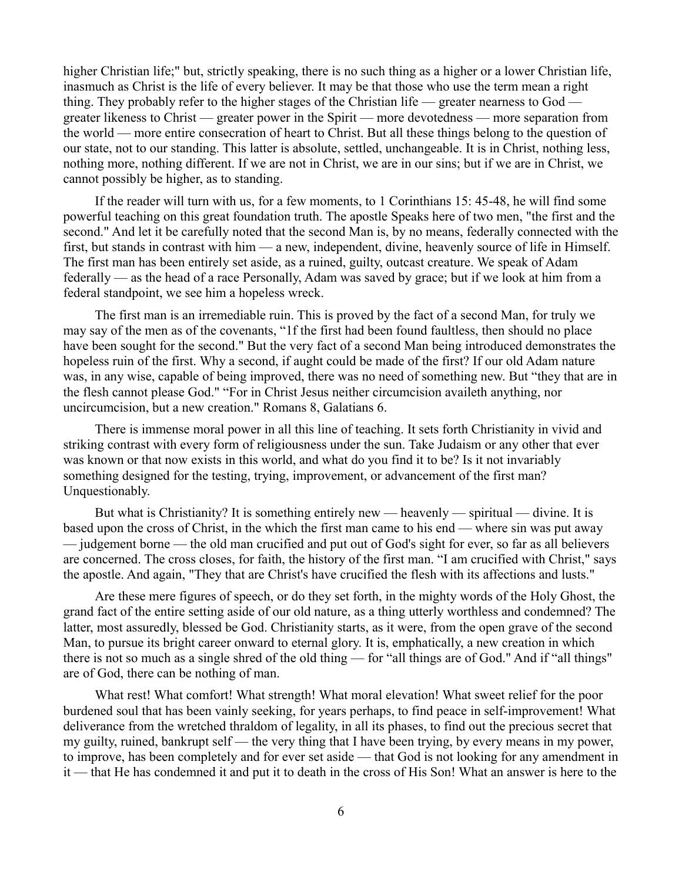higher Christian life;" but, strictly speaking, there is no such thing as a higher or a lower Christian life, inasmuch as Christ is the life of every believer. It may be that those who use the term mean a right thing. They probably refer to the higher stages of the Christian life — greater nearness to God greater likeness to Christ — greater power in the Spirit — more devotedness — more separation from the world — more entire consecration of heart to Christ. But all these things belong to the question of our state, not to our standing. This latter is absolute, settled, unchangeable. It is in Christ, nothing less, nothing more, nothing different. If we are not in Christ, we are in our sins; but if we are in Christ, we cannot possibly be higher, as to standing.

If the reader will turn with us, for a few moments, to 1 Corinthians 15: 45-48, he will find some powerful teaching on this great foundation truth. The apostle Speaks here of two men, "the first and the second." And let it be carefully noted that the second Man is, by no means, federally connected with the first, but stands in contrast with him — a new, independent, divine, heavenly source of life in Himself. The first man has been entirely set aside, as a ruined, guilty, outcast creature. We speak of Adam federally — as the head of a race Personally, Adam was saved by grace; but if we look at him from a federal standpoint, we see him a hopeless wreck.

The first man is an irremediable ruin. This is proved by the fact of a second Man, for truly we may say of the men as of the covenants, "1f the first had been found faultless, then should no place have been sought for the second." But the very fact of a second Man being introduced demonstrates the hopeless ruin of the first. Why a second, if aught could be made of the first? If our old Adam nature was, in any wise, capable of being improved, there was no need of something new. But "they that are in the flesh cannot please God." "For in Christ Jesus neither circumcision availeth anything, nor uncircumcision, but a new creation." Romans 8, Galatians 6.

There is immense moral power in all this line of teaching. It sets forth Christianity in vivid and striking contrast with every form of religiousness under the sun. Take Judaism or any other that ever was known or that now exists in this world, and what do you find it to be? Is it not invariably something designed for the testing, trying, improvement, or advancement of the first man? Unquestionably.

But what is Christianity? It is something entirely new — heavenly — spiritual — divine. It is based upon the cross of Christ, in the which the first man came to his end — where sin was put away — judgement borne — the old man crucified and put out of God's sight for ever, so far as all believers are concerned. The cross closes, for faith, the history of the first man. "I am crucified with Christ," says the apostle. And again, "They that are Christ's have crucified the flesh with its affections and lusts."

Are these mere figures of speech, or do they set forth, in the mighty words of the Holy Ghost, the grand fact of the entire setting aside of our old nature, as a thing utterly worthless and condemned? The latter, most assuredly, blessed be God. Christianity starts, as it were, from the open grave of the second Man, to pursue its bright career onward to eternal glory. It is, emphatically, a new creation in which there is not so much as a single shred of the old thing — for "all things are of God." And if "all things" are of God, there can be nothing of man.

What rest! What comfort! What strength! What moral elevation! What sweet relief for the poor burdened soul that has been vainly seeking, for years perhaps, to find peace in self-improvement! What deliverance from the wretched thraldom of legality, in all its phases, to find out the precious secret that my guilty, ruined, bankrupt self — the very thing that I have been trying, by every means in my power, to improve, has been completely and for ever set aside — that God is not looking for any amendment in it — that He has condemned it and put it to death in the cross of His Son! What an answer is here to the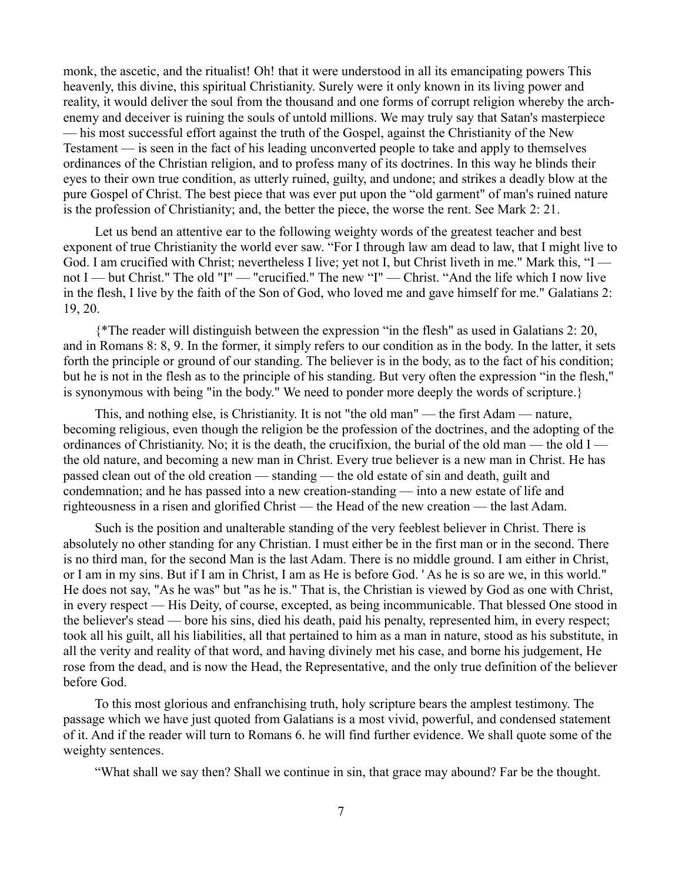monk, the ascetic, and the ritualist! Oh! that it were understood in all its emancipating powers This heavenly, this divine, this spiritual Christianity. Surely were it only known in its living power and reality, it would deliver the soul from the thousand and one forms of corrupt religion whereby the archenemy and deceiver is ruining the souls of untold millions. We may truly say that Satan's masterpiece — his most successful effort against the truth of the Gospel, against the Christianity of the New Testament — is seen in the fact of his leading unconverted people to take and apply to themselves ordinances of the Christian religion, and to profess many of its doctrines. In this way he blinds their eyes to their own true condition, as utterly ruined, guilty, and undone; and strikes a deadly blow at the pure Gospel of Christ. The best piece that was ever put upon the "old garment" of man's ruined nature is the profession of Christianity; and, the better the piece, the worse the rent. See Mark 2: 21.

Let us bend an attentive ear to the following weighty words of the greatest teacher and best exponent of true Christianity the world ever saw. "For I through law am dead to law, that I might live to God. I am crucified with Christ; nevertheless I live; yet not I, but Christ liveth in me." Mark this, "I not I — but Christ." The old "I" — "crucified." The new "I" — Christ. "And the life which I now live in the flesh, I live by the faith of the Son of God, who loved me and gave himself for me." Galatians 2: 19, 20.

{\*The reader will distinguish between the expression "in the flesh" as used in Galatians 2: 20, and in Romans 8: 8, 9. In the former, it simply refers to our condition as in the body. In the latter, it sets forth the principle or ground of our standing. The believer is in the body, as to the fact of his condition; but he is not in the flesh as to the principle of his standing. But very often the expression "in the flesh," is synonymous with being "in the body." We need to ponder more deeply the words of scripture.}

This, and nothing else, is Christianity. It is not "the old man" — the first Adam — nature, becoming religious, even though the religion be the profession of the doctrines, and the adopting of the ordinances of Christianity. No; it is the death, the crucifixion, the burial of the old man — the old  $I$  the old nature, and becoming a new man in Christ. Every true believer is a new man in Christ. He has passed clean out of the old creation — standing — the old estate of sin and death, guilt and condemnation; and he has passed into a new creation-standing — into a new estate of life and righteousness in a risen and glorified Christ — the Head of the new creation — the last Adam.

Such is the position and unalterable standing of the very feeblest believer in Christ. There is absolutely no other standing for any Christian. I must either be in the first man or in the second. There is no third man, for the second Man is the last Adam. There is no middle ground. I am either in Christ, or I am in my sins. But if I am in Christ, I am as He is before God. ' As he is so are we, in this world." He does not say, "As he was" but "as he is." That is, the Christian is viewed by God as one with Christ, in every respect — His Deity, of course, excepted, as being incommunicable. That blessed One stood in the believer's stead — bore his sins, died his death, paid his penalty, represented him, in every respect; took all his guilt, all his liabilities, all that pertained to him as a man in nature, stood as his substitute, in all the verity and reality of that word, and having divinely met his case, and borne his judgement, He rose from the dead, and is now the Head, the Representative, and the only true definition of the believer before God.

To this most glorious and enfranchising truth, holy scripture bears the amplest testimony. The passage which we have just quoted from Galatians is a most vivid, powerful, and condensed statement of it. And if the reader will turn to Romans 6. he will find further evidence. We shall quote some of the weighty sentences.

"What shall we say then? Shall we continue in sin, that grace may abound? Far be the thought.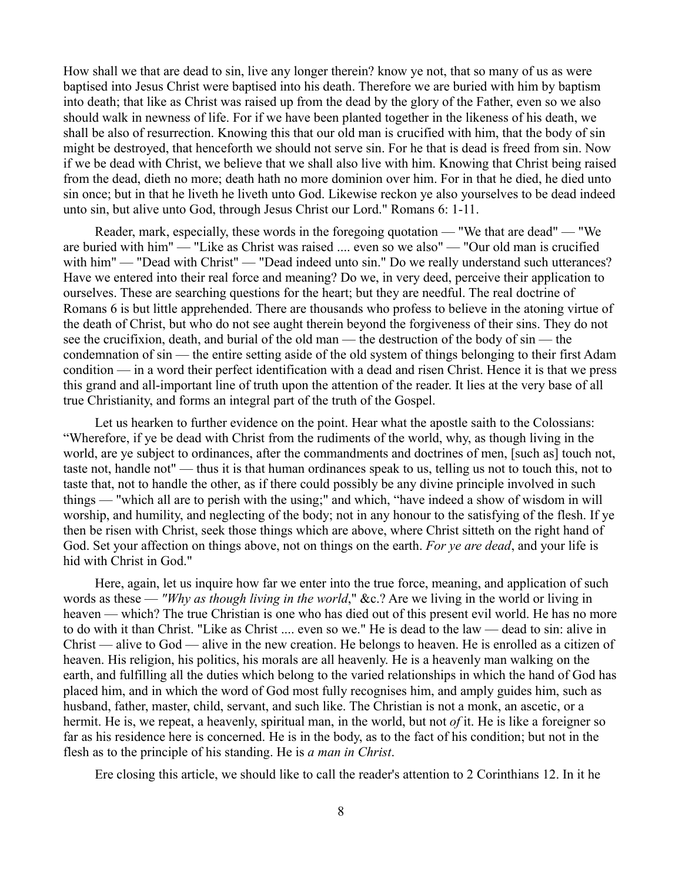How shall we that are dead to sin, live any longer therein? know ye not, that so many of us as were baptised into Jesus Christ were baptised into his death. Therefore we are buried with him by baptism into death; that like as Christ was raised up from the dead by the glory of the Father, even so we also should walk in newness of life. For if we have been planted together in the likeness of his death, we shall be also of resurrection. Knowing this that our old man is crucified with him, that the body of sin might be destroyed, that henceforth we should not serve sin. For he that is dead is freed from sin. Now if we be dead with Christ, we believe that we shall also live with him. Knowing that Christ being raised from the dead, dieth no more; death hath no more dominion over him. For in that he died, he died unto sin once; but in that he liveth he liveth unto God. Likewise reckon ye also yourselves to be dead indeed unto sin, but alive unto God, through Jesus Christ our Lord." Romans 6: 1-11.

Reader, mark, especially, these words in the foregoing quotation — "We that are dead" — "We are buried with him" — "Like as Christ was raised .... even so we also" — "Our old man is crucified with him" — "Dead with Christ" — "Dead indeed unto sin." Do we really understand such utterances? Have we entered into their real force and meaning? Do we, in very deed, perceive their application to ourselves. These are searching questions for the heart; but they are needful. The real doctrine of Romans 6 is but little apprehended. There are thousands who profess to believe in the atoning virtue of the death of Christ, but who do not see aught therein beyond the forgiveness of their sins. They do not see the crucifixion, death, and burial of the old man — the destruction of the body of sin — the condemnation of sin — the entire setting aside of the old system of things belonging to their first Adam condition — in a word their perfect identification with a dead and risen Christ. Hence it is that we press this grand and all-important line of truth upon the attention of the reader. It lies at the very base of all true Christianity, and forms an integral part of the truth of the Gospel.

Let us hearken to further evidence on the point. Hear what the apostle saith to the Colossians: "Wherefore, if ye be dead with Christ from the rudiments of the world, why, as though living in the world, are ye subject to ordinances, after the commandments and doctrines of men, [such as] touch not, taste not, handle not" — thus it is that human ordinances speak to us, telling us not to touch this, not to taste that, not to handle the other, as if there could possibly be any divine principle involved in such things — "which all are to perish with the using;" and which, "have indeed a show of wisdom in will worship, and humility, and neglecting of the body; not in any honour to the satisfying of the flesh. If ye then be risen with Christ, seek those things which are above, where Christ sitteth on the right hand of God. Set your affection on things above, not on things on the earth. *For ye are dead*, and your life is hid with Christ in God."

Here, again, let us inquire how far we enter into the true force, meaning, and application of such words as these — *"Why as though living in the world*," &c.? Are we living in the world or living in heaven — which? The true Christian is one who has died out of this present evil world. He has no more to do with it than Christ. "Like as Christ .... even so we." He is dead to the law — dead to sin: alive in Christ — alive to God — alive in the new creation. He belongs to heaven. He is enrolled as a citizen of heaven. His religion, his politics, his morals are all heavenly. He is a heavenly man walking on the earth, and fulfilling all the duties which belong to the varied relationships in which the hand of God has placed him, and in which the word of God most fully recognises him, and amply guides him, such as husband, father, master, child, servant, and such like. The Christian is not a monk, an ascetic, or a hermit. He is, we repeat, a heavenly, spiritual man, in the world, but not *of* it. He is like a foreigner so far as his residence here is concerned. He is in the body, as to the fact of his condition; but not in the flesh as to the principle of his standing. He is *a man in Christ*.

Ere closing this article, we should like to call the reader's attention to 2 Corinthians 12. In it he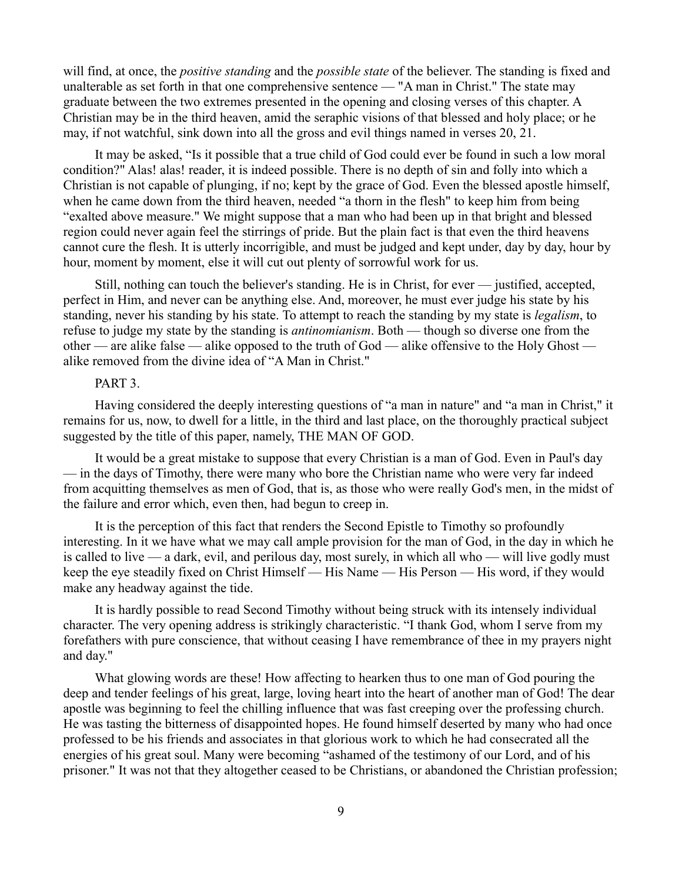will find, at once, the *positive standing* and the *possible state* of the believer. The standing is fixed and unalterable as set forth in that one comprehensive sentence — "A man in Christ." The state may graduate between the two extremes presented in the opening and closing verses of this chapter. A Christian may be in the third heaven, amid the seraphic visions of that blessed and holy place; or he may, if not watchful, sink down into all the gross and evil things named in verses 20, 21.

It may be asked, "Is it possible that a true child of God could ever be found in such a low moral condition?" Alas! alas! reader, it is indeed possible. There is no depth of sin and folly into which a Christian is not capable of plunging, if no; kept by the grace of God. Even the blessed apostle himself, when he came down from the third heaven, needed "a thorn in the flesh" to keep him from being "exalted above measure." We might suppose that a man who had been up in that bright and blessed region could never again feel the stirrings of pride. But the plain fact is that even the third heavens cannot cure the flesh. It is utterly incorrigible, and must be judged and kept under, day by day, hour by hour, moment by moment, else it will cut out plenty of sorrowful work for us.

Still, nothing can touch the believer's standing. He is in Christ, for ever — justified, accepted, perfect in Him, and never can be anything else. And, moreover, he must ever judge his state by his standing, never his standing by his state. To attempt to reach the standing by my state is *legalism*, to refuse to judge my state by the standing is *antinomianism*. Both — though so diverse one from the other — are alike false — alike opposed to the truth of God — alike offensive to the Holy Ghost alike removed from the divine idea of "A Man in Christ."

#### PART 3.

Having considered the deeply interesting questions of "a man in nature" and "a man in Christ," it remains for us, now, to dwell for a little, in the third and last place, on the thoroughly practical subject suggested by the title of this paper, namely, THE MAN OF GOD.

It would be a great mistake to suppose that every Christian is a man of God. Even in Paul's day — in the days of Timothy, there were many who bore the Christian name who were very far indeed from acquitting themselves as men of God, that is, as those who were really God's men, in the midst of the failure and error which, even then, had begun to creep in.

It is the perception of this fact that renders the Second Epistle to Timothy so profoundly interesting. In it we have what we may call ample provision for the man of God, in the day in which he is called to live — a dark, evil, and perilous day, most surely, in which all who — will live godly must keep the eye steadily fixed on Christ Himself — His Name — His Person — His word, if they would make any headway against the tide.

It is hardly possible to read Second Timothy without being struck with its intensely individual character. The very opening address is strikingly characteristic. "I thank God, whom I serve from my forefathers with pure conscience, that without ceasing I have remembrance of thee in my prayers night and day."

What glowing words are these! How affecting to hearken thus to one man of God pouring the deep and tender feelings of his great, large, loving heart into the heart of another man of God! The dear apostle was beginning to feel the chilling influence that was fast creeping over the professing church. He was tasting the bitterness of disappointed hopes. He found himself deserted by many who had once professed to be his friends and associates in that glorious work to which he had consecrated all the energies of his great soul. Many were becoming "ashamed of the testimony of our Lord, and of his prisoner." It was not that they altogether ceased to be Christians, or abandoned the Christian profession;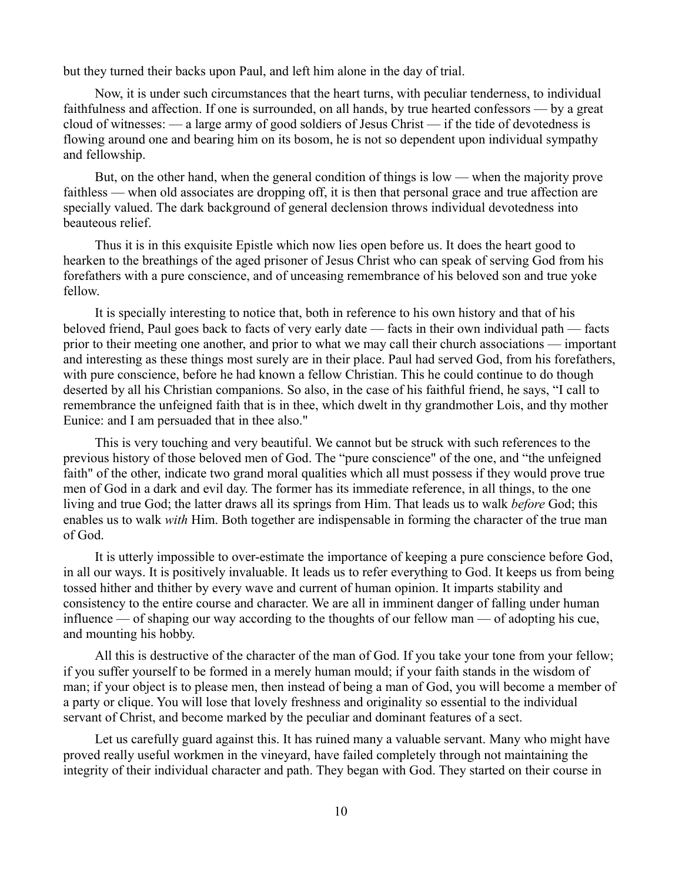but they turned their backs upon Paul, and left him alone in the day of trial.

Now, it is under such circumstances that the heart turns, with peculiar tenderness, to individual faithfulness and affection. If one is surrounded, on all hands, by true hearted confessors — by a great cloud of witnesses: — a large army of good soldiers of Jesus Christ — if the tide of devotedness is flowing around one and bearing him on its bosom, he is not so dependent upon individual sympathy and fellowship.

But, on the other hand, when the general condition of things is low — when the majority prove faithless — when old associates are dropping off, it is then that personal grace and true affection are specially valued. The dark background of general declension throws individual devotedness into beauteous relief.

Thus it is in this exquisite Epistle which now lies open before us. It does the heart good to hearken to the breathings of the aged prisoner of Jesus Christ who can speak of serving God from his forefathers with a pure conscience, and of unceasing remembrance of his beloved son and true yoke fellow.

It is specially interesting to notice that, both in reference to his own history and that of his beloved friend, Paul goes back to facts of very early date — facts in their own individual path — facts prior to their meeting one another, and prior to what we may call their church associations — important and interesting as these things most surely are in their place. Paul had served God, from his forefathers, with pure conscience, before he had known a fellow Christian. This he could continue to do though deserted by all his Christian companions. So also, in the case of his faithful friend, he says, "I call to remembrance the unfeigned faith that is in thee, which dwelt in thy grandmother Lois, and thy mother Eunice: and I am persuaded that in thee also."

This is very touching and very beautiful. We cannot but be struck with such references to the previous history of those beloved men of God. The "pure conscience" of the one, and "the unfeigned faith" of the other, indicate two grand moral qualities which all must possess if they would prove true men of God in a dark and evil day. The former has its immediate reference, in all things, to the one living and true God; the latter draws all its springs from Him. That leads us to walk *before* God; this enables us to walk *with* Him. Both together are indispensable in forming the character of the true man of God.

It is utterly impossible to over-estimate the importance of keeping a pure conscience before God, in all our ways. It is positively invaluable. It leads us to refer everything to God. It keeps us from being tossed hither and thither by every wave and current of human opinion. It imparts stability and consistency to the entire course and character. We are all in imminent danger of falling under human influence — of shaping our way according to the thoughts of our fellow man — of adopting his cue, and mounting his hobby.

All this is destructive of the character of the man of God. If you take your tone from your fellow; if you suffer yourself to be formed in a merely human mould; if your faith stands in the wisdom of man; if your object is to please men, then instead of being a man of God, you will become a member of a party or clique. You will lose that lovely freshness and originality so essential to the individual servant of Christ, and become marked by the peculiar and dominant features of a sect.

Let us carefully guard against this. It has ruined many a valuable servant. Many who might have proved really useful workmen in the vineyard, have failed completely through not maintaining the integrity of their individual character and path. They began with God. They started on their course in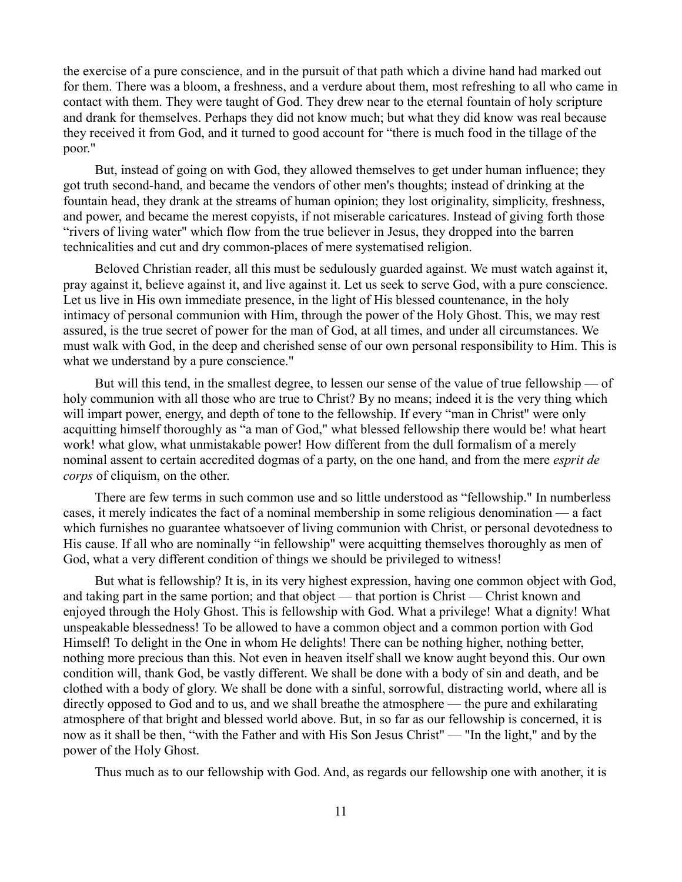the exercise of a pure conscience, and in the pursuit of that path which a divine hand had marked out for them. There was a bloom, a freshness, and a verdure about them, most refreshing to all who came in contact with them. They were taught of God. They drew near to the eternal fountain of holy scripture and drank for themselves. Perhaps they did not know much; but what they did know was real because they received it from God, and it turned to good account for "there is much food in the tillage of the poor."

But, instead of going on with God, they allowed themselves to get under human influence; they got truth second-hand, and became the vendors of other men's thoughts; instead of drinking at the fountain head, they drank at the streams of human opinion; they lost originality, simplicity, freshness, and power, and became the merest copyists, if not miserable caricatures. Instead of giving forth those "rivers of living water" which flow from the true believer in Jesus, they dropped into the barren technicalities and cut and dry common-places of mere systematised religion.

Beloved Christian reader, all this must be sedulously guarded against. We must watch against it, pray against it, believe against it, and live against it. Let us seek to serve God, with a pure conscience. Let us live in His own immediate presence, in the light of His blessed countenance, in the holy intimacy of personal communion with Him, through the power of the Holy Ghost. This, we may rest assured, is the true secret of power for the man of God, at all times, and under all circumstances. We must walk with God, in the deep and cherished sense of our own personal responsibility to Him. This is what we understand by a pure conscience."

But will this tend, in the smallest degree, to lessen our sense of the value of true fellowship — of holy communion with all those who are true to Christ? By no means; indeed it is the very thing which will impart power, energy, and depth of tone to the fellowship. If every "man in Christ" were only acquitting himself thoroughly as "a man of God," what blessed fellowship there would be! what heart work! what glow, what unmistakable power! How different from the dull formalism of a merely nominal assent to certain accredited dogmas of a party, on the one hand, and from the mere *esprit de corps* of cliquism, on the other.

There are few terms in such common use and so little understood as "fellowship." In numberless cases, it merely indicates the fact of a nominal membership in some religious denomination — a fact which furnishes no guarantee whatsoever of living communion with Christ, or personal devotedness to His cause. If all who are nominally "in fellowship" were acquitting themselves thoroughly as men of God, what a very different condition of things we should be privileged to witness!

But what is fellowship? It is, in its very highest expression, having one common object with God, and taking part in the same portion; and that object — that portion is Christ — Christ known and enjoyed through the Holy Ghost. This is fellowship with God. What a privilege! What a dignity! What unspeakable blessedness! To be allowed to have a common object and a common portion with God Himself! To delight in the One in whom He delights! There can be nothing higher, nothing better, nothing more precious than this. Not even in heaven itself shall we know aught beyond this. Our own condition will, thank God, be vastly different. We shall be done with a body of sin and death, and be clothed with a body of glory. We shall be done with a sinful, sorrowful, distracting world, where all is directly opposed to God and to us, and we shall breathe the atmosphere — the pure and exhilarating atmosphere of that bright and blessed world above. But, in so far as our fellowship is concerned, it is now as it shall be then, "with the Father and with His Son Jesus Christ" — "In the light," and by the power of the Holy Ghost.

Thus much as to our fellowship with God. And, as regards our fellowship one with another, it is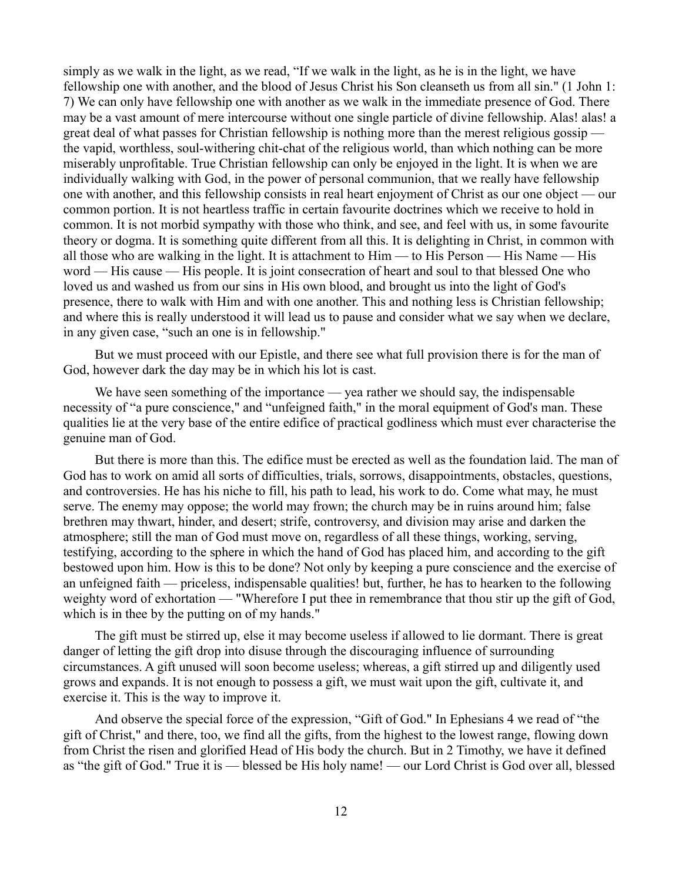simply as we walk in the light, as we read, "If we walk in the light, as he is in the light, we have fellowship one with another, and the blood of Jesus Christ his Son cleanseth us from all sin." (1 John 1: 7) We can only have fellowship one with another as we walk in the immediate presence of God. There may be a vast amount of mere intercourse without one single particle of divine fellowship. Alas! alas! a great deal of what passes for Christian fellowship is nothing more than the merest religious gossip the vapid, worthless, soul-withering chit-chat of the religious world, than which nothing can be more miserably unprofitable. True Christian fellowship can only be enjoyed in the light. It is when we are individually walking with God, in the power of personal communion, that we really have fellowship one with another, and this fellowship consists in real heart enjoyment of Christ as our one object — our common portion. It is not heartless traffic in certain favourite doctrines which we receive to hold in common. It is not morbid sympathy with those who think, and see, and feel with us, in some favourite theory or dogma. It is something quite different from all this. It is delighting in Christ, in common with all those who are walking in the light. It is attachment to Him — to His Person — His Name — His word — His cause — His people. It is joint consecration of heart and soul to that blessed One who loved us and washed us from our sins in His own blood, and brought us into the light of God's presence, there to walk with Him and with one another. This and nothing less is Christian fellowship; and where this is really understood it will lead us to pause and consider what we say when we declare, in any given case, "such an one is in fellowship."

But we must proceed with our Epistle, and there see what full provision there is for the man of God, however dark the day may be in which his lot is cast.

We have seen something of the importance — yea rather we should say, the indispensable necessity of "a pure conscience," and "unfeigned faith," in the moral equipment of God's man. These qualities lie at the very base of the entire edifice of practical godliness which must ever characterise the genuine man of God.

But there is more than this. The edifice must be erected as well as the foundation laid. The man of God has to work on amid all sorts of difficulties, trials, sorrows, disappointments, obstacles, questions, and controversies. He has his niche to fill, his path to lead, his work to do. Come what may, he must serve. The enemy may oppose; the world may frown; the church may be in ruins around him; false brethren may thwart, hinder, and desert; strife, controversy, and division may arise and darken the atmosphere; still the man of God must move on, regardless of all these things, working, serving, testifying, according to the sphere in which the hand of God has placed him, and according to the gift bestowed upon him. How is this to be done? Not only by keeping a pure conscience and the exercise of an unfeigned faith — priceless, indispensable qualities! but, further, he has to hearken to the following weighty word of exhortation — "Wherefore I put thee in remembrance that thou stir up the gift of God, which is in thee by the putting on of my hands."

The gift must be stirred up, else it may become useless if allowed to lie dormant. There is great danger of letting the gift drop into disuse through the discouraging influence of surrounding circumstances. A gift unused will soon become useless; whereas, a gift stirred up and diligently used grows and expands. It is not enough to possess a gift, we must wait upon the gift, cultivate it, and exercise it. This is the way to improve it.

And observe the special force of the expression, "Gift of God." In Ephesians 4 we read of "the gift of Christ," and there, too, we find all the gifts, from the highest to the lowest range, flowing down from Christ the risen and glorified Head of His body the church. But in 2 Timothy, we have it defined as "the gift of God." True it is — blessed be His holy name! — our Lord Christ is God over all, blessed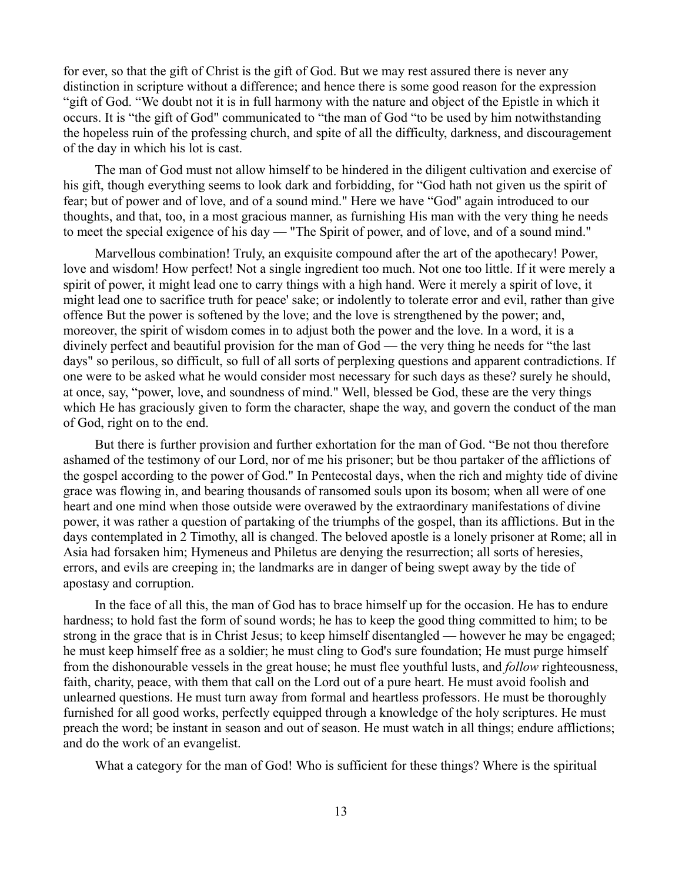for ever, so that the gift of Christ is the gift of God. But we may rest assured there is never any distinction in scripture without a difference; and hence there is some good reason for the expression "gift of God. "We doubt not it is in full harmony with the nature and object of the Epistle in which it occurs. It is "the gift of God" communicated to "the man of God "to be used by him notwithstanding the hopeless ruin of the professing church, and spite of all the difficulty, darkness, and discouragement of the day in which his lot is cast.

The man of God must not allow himself to be hindered in the diligent cultivation and exercise of his gift, though everything seems to look dark and forbidding, for "God hath not given us the spirit of fear; but of power and of love, and of a sound mind." Here we have "God'' again introduced to our thoughts, and that, too, in a most gracious manner, as furnishing His man with the very thing he needs to meet the special exigence of his day — "The Spirit of power, and of love, and of a sound mind."

Marvellous combination! Truly, an exquisite compound after the art of the apothecary! Power, love and wisdom! How perfect! Not a single ingredient too much. Not one too little. If it were merely a spirit of power, it might lead one to carry things with a high hand. Were it merely a spirit of love, it might lead one to sacrifice truth for peace' sake; or indolently to tolerate error and evil, rather than give offence But the power is softened by the love; and the love is strengthened by the power; and, moreover, the spirit of wisdom comes in to adjust both the power and the love. In a word, it is a divinely perfect and beautiful provision for the man of God — the very thing he needs for "the last days" so perilous, so difficult, so full of all sorts of perplexing questions and apparent contradictions. If one were to be asked what he would consider most necessary for such days as these? surely he should, at once, say, "power, love, and soundness of mind." Well, blessed be God, these are the very things which He has graciously given to form the character, shape the way, and govern the conduct of the man of God, right on to the end.

But there is further provision and further exhortation for the man of God. "Be not thou therefore ashamed of the testimony of our Lord, nor of me his prisoner; but be thou partaker of the afflictions of the gospel according to the power of God." In Pentecostal days, when the rich and mighty tide of divine grace was flowing in, and bearing thousands of ransomed souls upon its bosom; when all were of one heart and one mind when those outside were overawed by the extraordinary manifestations of divine power, it was rather a question of partaking of the triumphs of the gospel, than its afflictions. But in the days contemplated in 2 Timothy, all is changed. The beloved apostle is a lonely prisoner at Rome; all in Asia had forsaken him; Hymeneus and Philetus are denying the resurrection; all sorts of heresies, errors, and evils are creeping in; the landmarks are in danger of being swept away by the tide of apostasy and corruption.

In the face of all this, the man of God has to brace himself up for the occasion. He has to endure hardness; to hold fast the form of sound words; he has to keep the good thing committed to him; to be strong in the grace that is in Christ Jesus; to keep himself disentangled — however he may be engaged; he must keep himself free as a soldier; he must cling to God's sure foundation; He must purge himself from the dishonourable vessels in the great house; he must flee youthful lusts, and *follow* righteousness, faith, charity, peace, with them that call on the Lord out of a pure heart. He must avoid foolish and unlearned questions. He must turn away from formal and heartless professors. He must be thoroughly furnished for all good works, perfectly equipped through a knowledge of the holy scriptures. He must preach the word; be instant in season and out of season. He must watch in all things; endure afflictions; and do the work of an evangelist.

What a category for the man of God! Who is sufficient for these things? Where is the spiritual